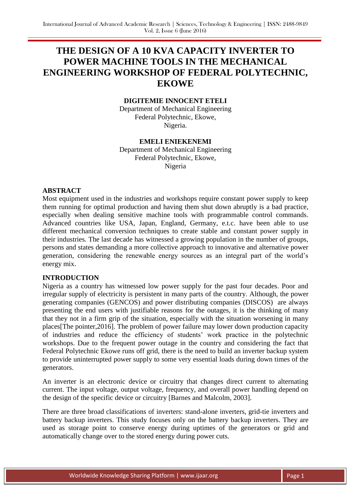# **THE DESIGN OF A 10 KVA CAPACITY INVERTER TO POWER MACHINE TOOLS IN THE MECHANICAL ENGINEERING WORKSHOP OF FEDERAL POLYTECHNIC, EKOWE**

## **DIGITEMIE INNOCENT ETELI**

Department of Mechanical Engineering Federal Polytechnic, Ekowe, Nigeria.

## **EMELI ENIEKENEMI**

Department of Mechanical Engineering Federal Polytechnic, Ekowe, Nigeria

#### **ABSTRACT**

Most equipment used in the industries and workshops require constant power supply to keep them running for optimal production and having them shut down abruptly is a bad practice, especially when dealing sensitive machine tools with programmable control commands. Advanced countries like USA, Japan, England, Germany, e.t.c. have been able to use different mechanical conversion techniques to create stable and constant power supply in their industries. The last decade has witnessed a growing population in the number of groups, persons and states demanding a more collective approach to innovative and alternative power generation, considering the renewable energy sources as an integral part of the world's energy mix.

#### **INTRODUCTION**

Nigeria as a country has witnessed low power supply for the past four decades. Poor and irregular supply of electricity is persistent in many parts of the country. Although, the power generating companies (GENCOS) and power distributing companies (DISCOS) are always presenting the end users with justifiable reasons for the outages, it is the thinking of many that they not in a firm grip of the situation, especially with the situation worsening in many places[The pointer,2016]. The problem of power failure may lower down production capacity of industries and reduce the efficiency of students' work practice in the polytechnic workshops. Due to the frequent power outage in the country and considering the fact that Federal Polytechnic Ekowe runs off grid, there is the need to build an inverter backup system to provide uninterrupted power supply to some very essential loads during down times of the generators.

An inverter is an electronic device or circuitry that changes direct current to alternating current. The input voltage, output voltage, frequency, and overall power handling depend on the design of the specific device or circuitry [Barnes and Malcolm, 2003].

There are three broad classifications of inverters: stand-alone inverters, grid-tie inverters and battery backup inverters. This study focuses only on the battery backup inverters. They are used as storage point to conserve energy during uptimes of the generators or grid and automatically change over to the stored energy during power cuts.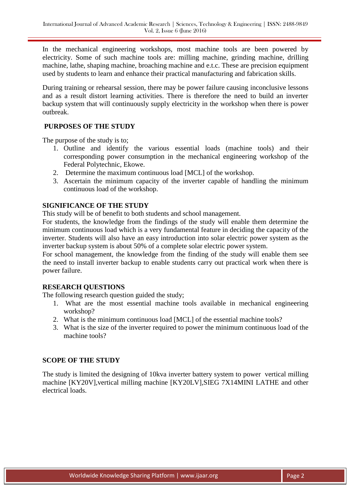In the mechanical engineering workshops, most machine tools are been powered by electricity. Some of such machine tools are: milling machine, grinding machine, drilling machine, lathe, shaping machine, broaching machine and e.t.c. These are precision equipment used by students to learn and enhance their practical manufacturing and fabrication skills.

During training or rehearsal session, there may be power failure causing inconclusive lessons and as a result distort learning activities. There is therefore the need to build an inverter backup system that will continuously supply electricity in the workshop when there is power outbreak.

## **PURPOSES OF THE STUDY**

The purpose of the study is to;

- 1. Outline and identify the various essential loads (machine tools) and their corresponding power consumption in the mechanical engineering workshop of the Federal Polytechnic, Ekowe.
- 2. Determine the maximum continuous load [MCL] of the workshop.
- 3. Ascertain the minimum capacity of the inverter capable of handling the minimum continuous load of the workshop.

## **SIGNIFICANCE OF THE STUDY**

This study will be of benefit to both students and school management.

For students, the knowledge from the findings of the study will enable them determine the minimum continuous load which is a very fundamental feature in deciding the capacity of the inverter. Students will also have an easy introduction into solar electric power system as the inverter backup system is about 50% of a complete solar electric power system.

For school management, the knowledge from the finding of the study will enable them see the need to install inverter backup to enable students carry out practical work when there is power failure.

## **RESEARCH QUESTIONS**

The following research question guided the study;

- 1. What are the most essential machine tools available in mechanical engineering workshop?
- 2. What is the minimum continuous load [MCL] of the essential machine tools?
- 3. What is the size of the inverter required to power the minimum continuous load of the machine tools?

# **SCOPE OF THE STUDY**

The study is limited the designing of 10kva inverter battery system to power vertical milling machine [KY20V],vertical milling machine [KY20LV],SIEG 7X14MINI LATHE and other electrical loads.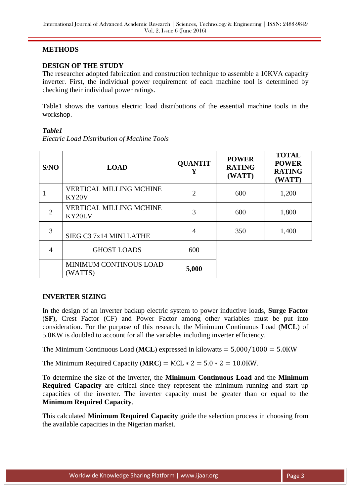## **METHODS**

## **DESIGN OF THE STUDY**

The researcher adopted fabrication and construction technique to assemble a 10KVA capacity inverter. First, the individual power requirement of each machine tool is determined by checking their individual power ratings.

Table1 shows the various electric load distributions of the essential machine tools in the workshop.

## *Table1*

*Electric Load Distribution of Machine Tools*

| S/NO           | <b>LOAD</b>                                          | <b>QUANTIT</b><br>Y | <b>POWER</b><br><b>RATING</b><br>(WATT) | <b>TOTAL</b><br><b>POWER</b><br><b>RATING</b><br>(WATT) |
|----------------|------------------------------------------------------|---------------------|-----------------------------------------|---------------------------------------------------------|
|                | <b>VERTICAL MILLING MCHINE</b><br>KY <sub>20</sub> V | $\overline{2}$      | 600                                     | 1,200                                                   |
| $\overline{2}$ | <b>VERTICAL MILLING MCHINE</b><br>KY20LV             | 3                   | 600                                     | 1,800                                                   |
| 3              | SIEG C3 7x14 MINI LATHE                              | 4                   | 350                                     | 1,400                                                   |
| 4              | <b>GHOST LOADS</b>                                   | 600                 |                                         |                                                         |
|                | <b>MINIMUM CONTINOUS LOAD</b><br>(WATTS)             | 5,000               |                                         |                                                         |

## **INVERTER SIZING**

In the design of an inverter backup electric system to power inductive loads, **Surge Factor** (**SF**), Crest Factor (CF) and Power Factor among other variables must be put into consideration. For the purpose of this research, the Minimum Continuous Load (**MCL**) of 5.0KW is doubled to account for all the variables including inverter efficiency.

The Minimum Continuous Load (MCL) expressed in kilowatts  $= 5,000/1000 = 5.0$ KW

The Minimum Required Capacity ( $MRC$ ) = MCL  $* 2 = 5.0 * 2 = 10.0$ KW.

To determine the size of the inverter, the **Minimum Continuous Load** and the **Minimum Required Capacity** are critical since they represent the minimum running and start up capacities of the inverter. The inverter capacity must be greater than or equal to the **Minimum Required Capacity**.

This calculated **Minimum Required Capacity** guide the selection process in choosing from the available capacities in the Nigerian market.